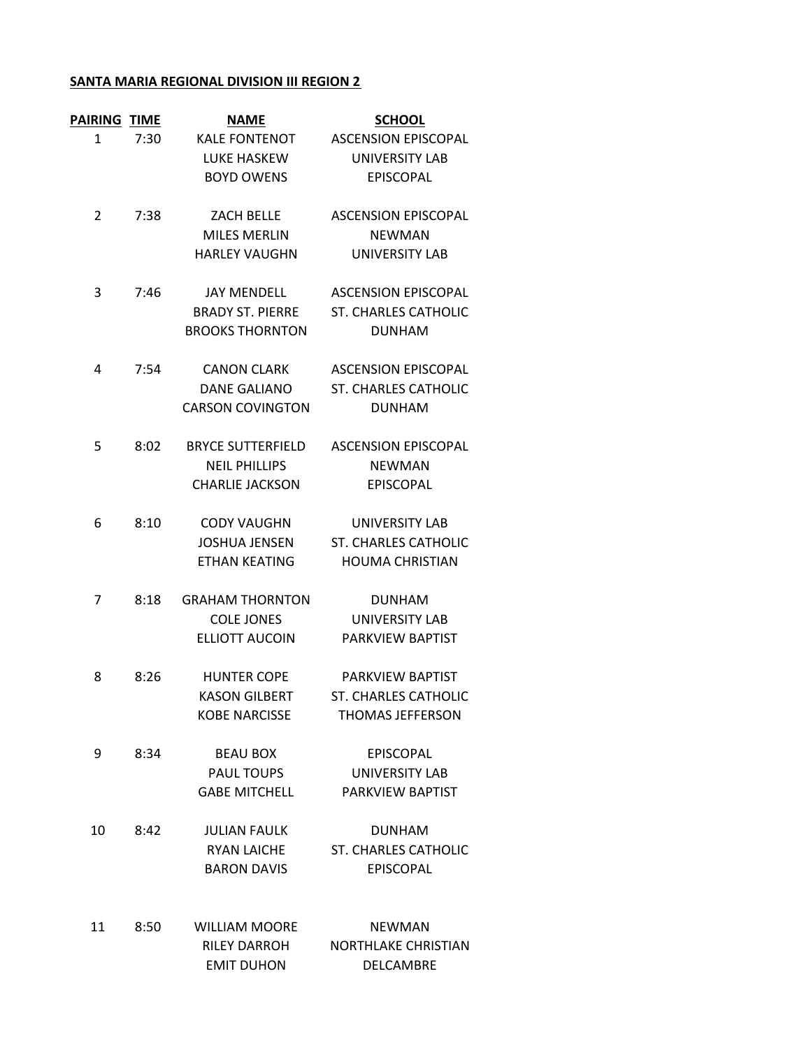## **SANTA MARIA REGIONAL DIVISION III REGION 2**

| PAIRING        | <b>TIME</b> | <b>NAME</b>              | <b>SCHOOL</b>               |
|----------------|-------------|--------------------------|-----------------------------|
| 1              | 7:30        | <b>KALE FONTENOT</b>     | <b>ASCENSION EPISCOPAL</b>  |
|                |             | <b>LUKE HASKEW</b>       | UNIVERSITY LAB              |
|                |             | <b>BOYD OWENS</b>        | <b>EPISCOPAL</b>            |
|                |             |                          |                             |
| $\overline{2}$ | 7:38        | <b>ZACH BELLE</b>        | <b>ASCENSION EPISCOPAL</b>  |
|                |             | <b>MILES MERLIN</b>      | <b>NEWMAN</b>               |
|                |             | <b>HARLEY VAUGHN</b>     | UNIVERSITY LAB              |
|                |             |                          |                             |
| 3              | 7:46        | <b>JAY MENDELL</b>       | <b>ASCENSION EPISCOPAL</b>  |
|                |             | <b>BRADY ST. PIERRE</b>  | <b>ST. CHARLES CATHOLIC</b> |
|                |             | <b>BROOKS THORNTON</b>   | <b>DUNHAM</b>               |
|                |             |                          |                             |
| 4              | 7:54        | <b>CANON CLARK</b>       | <b>ASCENSION EPISCOPAL</b>  |
|                |             | <b>DANE GALIANO</b>      | <b>ST. CHARLES CATHOLIC</b> |
|                |             | <b>CARSON COVINGTON</b>  | <b>DUNHAM</b>               |
|                |             |                          |                             |
| 5              | 8:02        | <b>BRYCE SUTTERFIELD</b> | <b>ASCENSION EPISCOPAL</b>  |
|                |             | <b>NEIL PHILLIPS</b>     | <b>NEWMAN</b>               |
|                |             | <b>CHARLIE JACKSON</b>   | <b>EPISCOPAL</b>            |
|                |             |                          |                             |
| 6              | 8:10        | <b>CODY VAUGHN</b>       | UNIVERSITY LAB              |
|                |             | <b>JOSHUA JENSEN</b>     | <b>ST. CHARLES CATHOLIC</b> |
|                |             | <b>ETHAN KEATING</b>     | <b>HOUMA CHRISTIAN</b>      |
| 7              | 8:18        | <b>GRAHAM THORNTON</b>   | <b>DUNHAM</b>               |
|                |             | <b>COLE JONES</b>        | UNIVERSITY LAB              |
|                |             | <b>ELLIOTT AUCOIN</b>    | PARKVIEW BAPTIST            |
|                |             |                          |                             |
| 8              | 8:26        | <b>HUNTER COPE</b>       | PARKVIEW BAPTIST            |
|                |             | <b>KASON GILBERT</b>     | <b>ST. CHARLES CATHOLIC</b> |
|                |             | <b>KOBE NARCISSE</b>     | THOMAS JEFFERSON            |
|                |             |                          |                             |
| 9              | 8:34        | <b>BEAU BOX</b>          | EPISCOPAL                   |
|                |             | PAUL TOUPS               | <b>UNIVERSITY LAB</b>       |
|                |             | <b>GABE MITCHELL</b>     | PARKVIEW BAPTIST            |
| 10             | 8:42        | <b>JULIAN FAULK</b>      | <b>DUNHAM</b>               |
|                |             | <b>RYAN LAICHE</b>       | <b>ST. CHARLES CATHOLIC</b> |
|                |             | <b>BARON DAVIS</b>       | <b>EPISCOPAL</b>            |
|                |             |                          |                             |
|                |             |                          |                             |
| 11             | 8:50        | WILLIAM MOORE            | <b>NEWMAN</b>               |
|                |             | R                        | 100T111                     |

RILEY DARROH NORTHLAKE CHRISTIAN EMIT DUHON DELCAMBRE